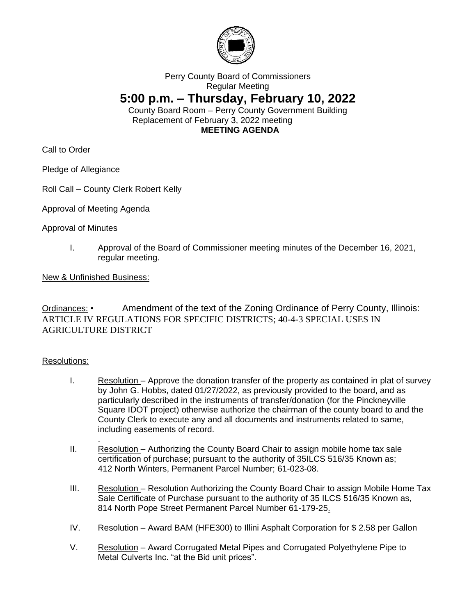

# Perry County Board of Commissioners Regular Meeting

# **5:00 p.m. – Thursday, February 10, 2022**

County Board Room – Perry County Government Building Replacement of February 3, 2022 meeting **MEETING AGENDA**

Call to Order

Pledge of Allegiance

## Roll Call – County Clerk Robert Kelly

Approval of Meeting Agenda

Approval of Minutes

I. Approval of the Board of Commissioner meeting minutes of the December 16, 2021, regular meeting.

New & Unfinished Business:

Ordinances: • Amendment of the text of the Zoning Ordinance of Perry County, Illinois: ARTICLE IV REGULATIONS FOR SPECIFIC DISTRICTS; 40-4-3 SPECIAL USES IN AGRICULTURE DISTRICT

#### Resolutions:

- I. Resolution Approve the donation transfer of the property as contained in plat of survey by John G. Hobbs, dated 01/27/2022, as previously provided to the board, and as particularly described in the instruments of transfer/donation (for the Pinckneyville Square IDOT project) otherwise authorize the chairman of the county board to and the County Clerk to execute any and all documents and instruments related to same, including easements of record.
- . II. Resolution – Authorizing the County Board Chair to assign mobile home tax sale certification of purchase; pursuant to the authority of 35ILCS 516/35 Known as; 412 North Winters, Permanent Parcel Number; 61-023-08.
- III. Resolution Resolution Authorizing the County Board Chair to assign Mobile Home Tax Sale Certificate of Purchase pursuant to the authority of 35 ILCS 516/35 Known as, 814 North Pope Street Permanent Parcel Number 61-179-25.
- IV. Resolution Award BAM (HFE300) to Illini Asphalt Corporation for \$2.58 per Gallon
- V. Resolution Award Corrugated Metal Pipes and Corrugated Polyethylene Pipe to Metal Culverts Inc. "at the Bid unit prices".